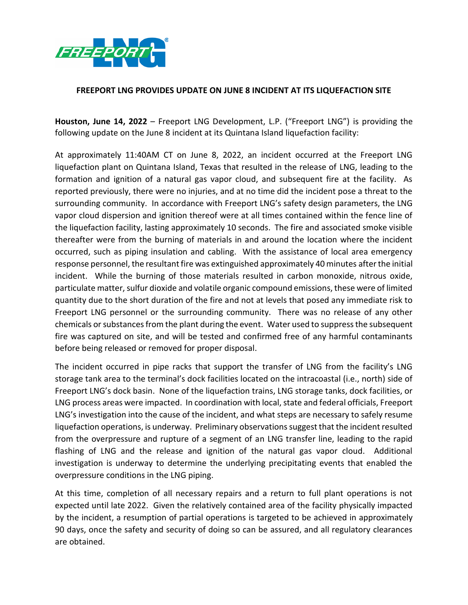

## **FREEPORT LNG PROVIDES UPDATE ON JUNE 8 INCIDENT AT ITS LIQUEFACTION SITE**

**Houston, June 14, 2022** – Freeport LNG Development, L.P. ("Freeport LNG") is providing the following update on the June 8 incident at its Quintana Island liquefaction facility:

At approximately 11:40AM CT on June 8, 2022, an incident occurred at the Freeport LNG liquefaction plant on Quintana Island, Texas that resulted in the release of LNG, leading to the formation and ignition of a natural gas vapor cloud, and subsequent fire at the facility. As reported previously, there were no injuries, and at no time did the incident pose a threat to the surrounding community. In accordance with Freeport LNG's safety design parameters, the LNG vapor cloud dispersion and ignition thereof were at all times contained within the fence line of the liquefaction facility, lasting approximately 10 seconds. The fire and associated smoke visible thereafter were from the burning of materials in and around the location where the incident occurred, such as piping insulation and cabling. With the assistance of local area emergency response personnel, the resultant fire was extinguished approximately 40 minutes after the initial incident. While the burning of those materials resulted in carbon monoxide, nitrous oxide, particulate matter, sulfur dioxide and volatile organic compound emissions, these were of limited quantity due to the short duration of the fire and not at levels that posed any immediate risk to Freeport LNG personnel or the surrounding community. There was no release of any other chemicals or substances from the plant during the event. Water used to suppress the subsequent fire was captured on site, and will be tested and confirmed free of any harmful contaminants before being released or removed for proper disposal.

The incident occurred in pipe racks that support the transfer of LNG from the facility's LNG storage tank area to the terminal's dock facilities located on the intracoastal (i.e., north) side of Freeport LNG's dock basin. None of the liquefaction trains, LNG storage tanks, dock facilities, or LNG process areas were impacted. In coordination with local, state and federal officials, Freeport LNG's investigation into the cause of the incident, and what steps are necessary to safely resume liquefaction operations, is underway. Preliminary observations suggest that the incident resulted from the overpressure and rupture of a segment of an LNG transfer line, leading to the rapid flashing of LNG and the release and ignition of the natural gas vapor cloud. Additional investigation is underway to determine the underlying precipitating events that enabled the overpressure conditions in the LNG piping.

At this time, completion of all necessary repairs and a return to full plant operations is not expected until late 2022. Given the relatively contained area of the facility physically impacted by the incident, a resumption of partial operations is targeted to be achieved in approximately 90 days, once the safety and security of doing so can be assured, and all regulatory clearances are obtained.